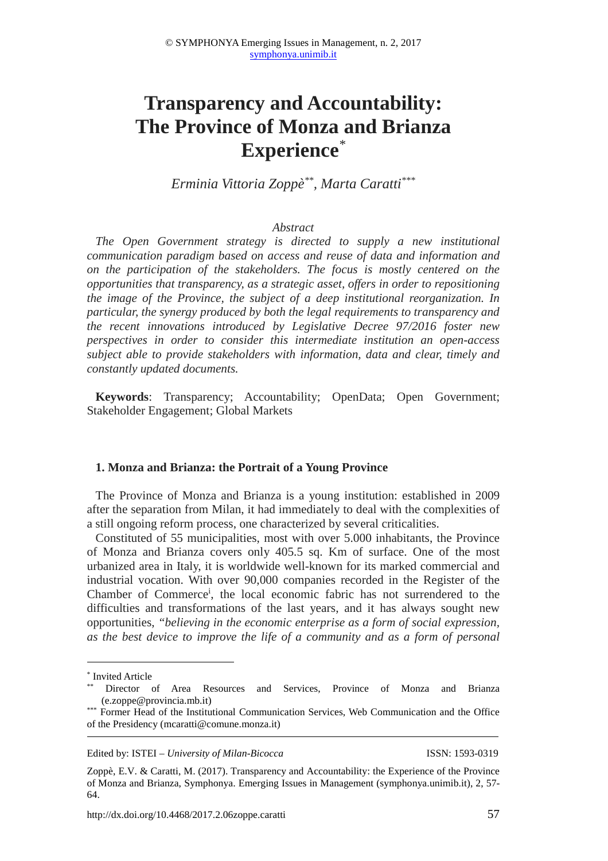# **Transparency and Accountability: The Province of Monza and Brianza Experience***\**

*Erminia Vittoria Zoppè\*\*, Marta Caratti\*\*\**

#### *Abstract*

*The Open Government strategy is directed to supply a new institutional communication paradigm based on access and reuse of data and information and on the participation of the stakeholders. The focus is mostly centered on the opportunities that transparency, as a strategic asset, offers in order to repositioning the image of the Province, the subject of a deep institutional reorganization. In particular, the synergy produced by both the legal requirements to transparency and the recent innovations introduced by Legislative Decree 97/2016 foster new perspectives in order to consider this intermediate institution an open-access subject able to provide stakeholders with information, data and clear, timely and constantly updated documents.* 

**Keywords**: Transparency; Accountability; OpenData; Open Government; Stakeholder Engagement; Global Markets

#### **1. Monza and Brianza: the Portrait of a Young Province**

The Province of Monza and Brianza is a young institution: established in 2009 after the separation from Milan, it had immediately to deal with the complexities of a still ongoing reform process, one characterized by several criticalities.

Constituted of 55 municipalities, most with over 5.000 inhabitants, the Province of Monza and Brianza covers only 405.5 sq. Km of surface. One of the most urbanized area in Italy, it is worldwide well-known for its marked commercial and industrial vocation. With over 90,000 companies recorded in the Register of the Chamber of Commerce<sup>i</sup>, the local economic fabric has not surrendered to the difficulties and transformations of the last years, and it has always sought new opportunities, *"believing in the economic enterprise as a form of social expression, as the best device to improve the life of a community and as a form of personal* 

 $\overline{a}$ 

Edited by: ISTEI – *University of Milan-Bicocca* ISSN: 1593-0319

<sup>\*</sup> Invited Article

Director of Area Resources and Services, Province of Monza and Brianza (e.zoppe@provincia.mb.it)

<sup>\*\*\*</sup> Former Head of the Institutional Communication Services, Web Communication and the Office of the Presidency (mcaratti@comune.monza.it)

Zoppè, E.V. & Caratti, M. (2017). Transparency and Accountability: the Experience of the Province of Monza and Brianza, Symphonya. Emerging Issues in Management (symphonya.unimib.it), 2, 57- 64.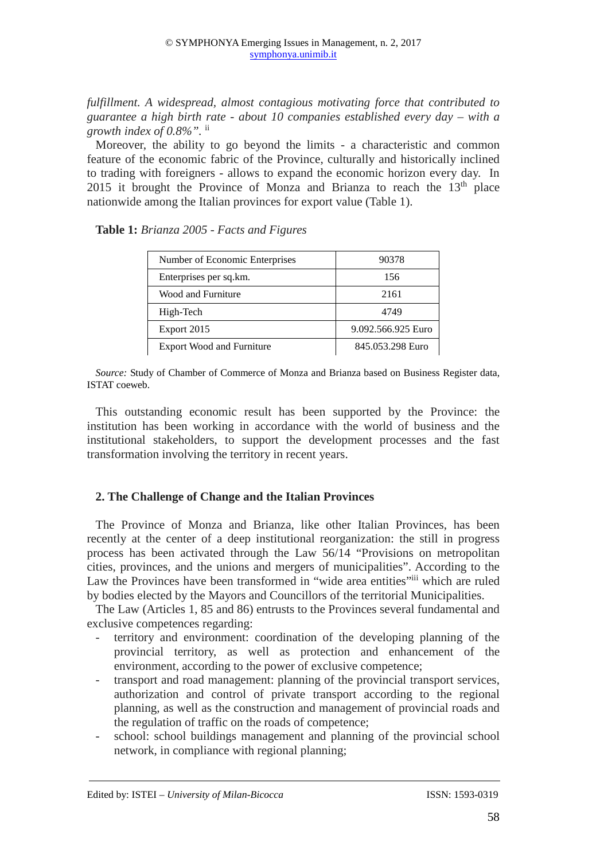*fulfillment. A widespread, almost contagious motivating force that contributed to guarantee a high birth rate - about 10 companies established every day – with a growth index of 0.8%".* ii

Moreover, the ability to go beyond the limits - a characteristic and common feature of the economic fabric of the Province, culturally and historically inclined to trading with foreigners - allows to expand the economic horizon every day. In 2015 it brought the Province of Monza and Brianza to reach the  $13<sup>th</sup>$  place nationwide among the Italian provinces for export value (Table 1).

**Table 1:** *Brianza 2005 - Facts and Figures*

| Number of Economic Enterprises   | 90378              |  |
|----------------------------------|--------------------|--|
| Enterprises per sq.km.           | 156                |  |
| Wood and Furniture               | 2161               |  |
| High-Tech                        | 4749               |  |
| Export 2015                      | 9.092.566.925 Euro |  |
| <b>Export Wood and Furniture</b> | 845.053.298 Euro   |  |

*Source:* Study of Chamber of Commerce of Monza and Brianza based on Business Register data, ISTAT coeweb.

This outstanding economic result has been supported by the Province: the institution has been working in accordance with the world of business and the institutional stakeholders, to support the development processes and the fast transformation involving the territory in recent years.

# **2. The Challenge of Change and the Italian Provinces**

The Province of Monza and Brianza, like other Italian Provinces, has been recently at the center of a deep institutional reorganization: the still in progress process has been activated through the Law 56/14 "Provisions on metropolitan cities, provinces, and the unions and mergers of municipalities". According to the Law the Provinces have been transformed in "wide area entities" which are ruled by bodies elected by the Mayors and Councillors of the territorial Municipalities.

The Law (Articles 1, 85 and 86) entrusts to the Provinces several fundamental and exclusive competences regarding:

- territory and environment: coordination of the developing planning of the provincial territory, as well as protection and enhancement of the environment, according to the power of exclusive competence;
- transport and road management: planning of the provincial transport services, authorization and control of private transport according to the regional planning, as well as the construction and management of provincial roads and the regulation of traffic on the roads of competence;
- school: school buildings management and planning of the provincial school network, in compliance with regional planning;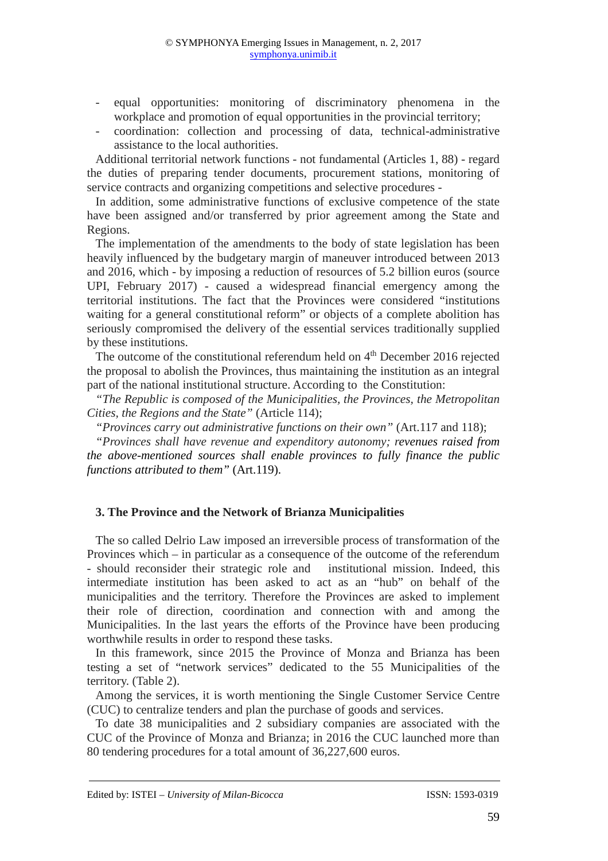- equal opportunities: monitoring of discriminatory phenomena in the workplace and promotion of equal opportunities in the provincial territory;
- coordination: collection and processing of data, technical-administrative assistance to the local authorities.

Additional territorial network functions - not fundamental (Articles 1, 88) - regard the duties of preparing tender documents, procurement stations, monitoring of service contracts and organizing competitions and selective procedures -

In addition, some administrative functions of exclusive competence of the state have been assigned and/or transferred by prior agreement among the State and Regions.

The implementation of the amendments to the body of state legislation has been heavily influenced by the budgetary margin of maneuver introduced between 2013 and 2016, which - by imposing a reduction of resources of 5.2 billion euros (source UPI, February 2017) - caused a widespread financial emergency among the territorial institutions. The fact that the Provinces were considered "institutions waiting for a general constitutional reform" or objects of a complete abolition has seriously compromised the delivery of the essential services traditionally supplied by these institutions.

The outcome of the constitutional referendum held on  $4<sup>th</sup>$  December 2016 rejected the proposal to abolish the Provinces, thus maintaining the institution as an integral part of the national institutional structure. According to the Constitution:

*"The Republic is composed of the Municipalities, the Provinces, the Metropolitan Cities, the Regions and the State"* (Article 114);

*"Provinces carry out administrative functions on their own"* (Art.117 and 118);

*"Provinces shall have revenue and expenditory autonomy; revenues raised from the above-mentioned sources shall enable provinces to fully finance the public functions attributed to them"* (Art.119).

# **3. The Province and the Network of Brianza Municipalities**

The so called Delrio Law imposed an irreversible process of transformation of the Provinces which – in particular as a consequence of the outcome of the referendum - should reconsider their strategic role and institutional mission. Indeed, this intermediate institution has been asked to act as an "hub" on behalf of the municipalities and the territory. Therefore the Provinces are asked to implement their role of direction, coordination and connection with and among the Municipalities. In the last years the efforts of the Province have been producing worthwhile results in order to respond these tasks.

In this framework, since 2015 the Province of Monza and Brianza has been testing a set of "network services" dedicated to the 55 Municipalities of the territory. (Table 2).

Among the services, it is worth mentioning the Single Customer Service Centre (CUC) to centralize tenders and plan the purchase of goods and services.

To date 38 municipalities and 2 subsidiary companies are associated with the CUC of the Province of Monza and Brianza; in 2016 the CUC launched more than 80 tendering procedures for a total amount of 36,227,600 euros.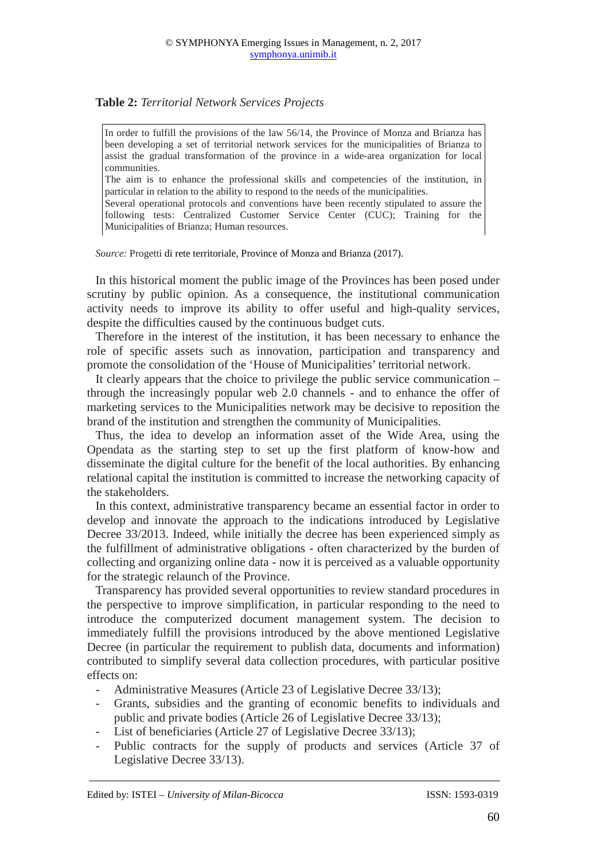# **Table 2:** *Territorial Network Services Projects*

In order to fulfill the provisions of the law 56/14, the Province of Monza and Brianza has been developing a set of territorial network services for the municipalities of Brianza to assist the gradual transformation of the province in a wide-area organization for local communities.

The aim is to enhance the professional skills and competencies of the institution, in particular in relation to the ability to respond to the needs of the municipalities.

Several operational protocols and conventions have been recently stipulated to assure the following tests: Centralized Customer Service Center (CUC); Training for the Municipalities of Brianza; Human resources.

*Source:* Progetti di rete territoriale, Province of Monza and Brianza (2017).

In this historical moment the public image of the Provinces has been posed under scrutiny by public opinion. As a consequence, the institutional communication activity needs to improve its ability to offer useful and high-quality services, despite the difficulties caused by the continuous budget cuts.

Therefore in the interest of the institution, it has been necessary to enhance the role of specific assets such as innovation, participation and transparency and promote the consolidation of the 'House of Municipalities' territorial network.

It clearly appears that the choice to privilege the public service communication – through the increasingly popular web 2.0 channels - and to enhance the offer of marketing services to the Municipalities network may be decisive to reposition the brand of the institution and strengthen the community of Municipalities.

Thus, the idea to develop an information asset of the Wide Area, using the Opendata as the starting step to set up the first platform of know-how and disseminate the digital culture for the benefit of the local authorities. By enhancing relational capital the institution is committed to increase the networking capacity of the stakeholders.

In this context, administrative transparency became an essential factor in order to develop and innovate the approach to the indications introduced by Legislative Decree 33/2013. Indeed, while initially the decree has been experienced simply as the fulfillment of administrative obligations - often characterized by the burden of collecting and organizing online data - now it is perceived as a valuable opportunity for the strategic relaunch of the Province.

Transparency has provided several opportunities to review standard procedures in the perspective to improve simplification, in particular responding to the need to introduce the computerized document management system. The decision to immediately fulfill the provisions introduced by the above mentioned Legislative Decree (in particular the requirement to publish data, documents and information) contributed to simplify several data collection procedures, with particular positive effects on:

- Administrative Measures (Article 23 of Legislative Decree 33/13);
- Grants, subsidies and the granting of economic benefits to individuals and public and private bodies (Article 26 of Legislative Decree 33/13);
- List of beneficiaries (Article 27 of Legislative Decree 33/13);
- Public contracts for the supply of products and services (Article 37 of Legislative Decree 33/13).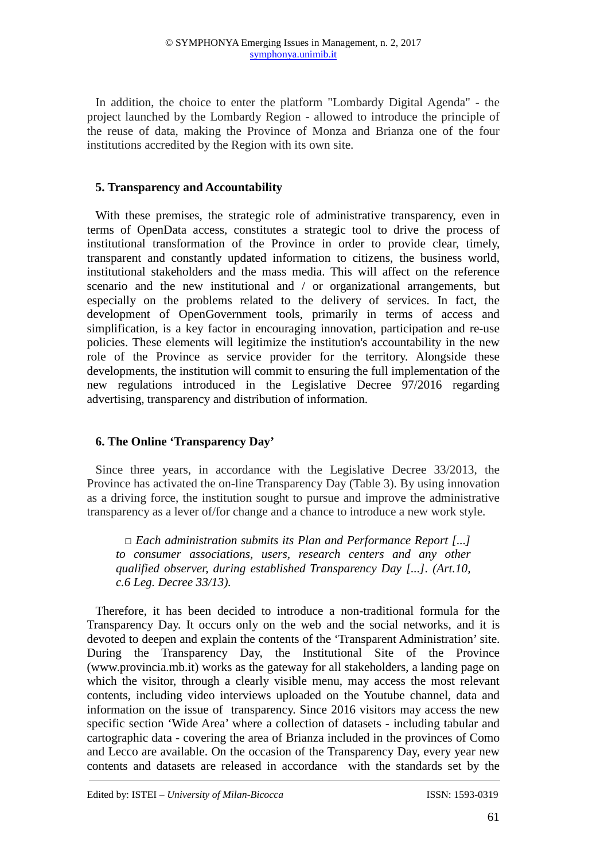In addition, the choice to enter the platform "Lombardy Digital Agenda" - the project launched by the Lombardy Region - allowed to introduce the principle of the reuse of data, making the Province of Monza and Brianza one of the four institutions accredited by the Region with its own site.

#### **5. Transparency and Accountability**

With these premises, the strategic role of administrative transparency, even in terms of OpenData access, constitutes a strategic tool to drive the process of institutional transformation of the Province in order to provide clear, timely, transparent and constantly updated information to citizens, the business world, institutional stakeholders and the mass media. This will affect on the reference scenario and the new institutional and / or organizational arrangements, but especially on the problems related to the delivery of services. In fact, the development of OpenGovernment tools, primarily in terms of access and simplification, is a key factor in encouraging innovation, participation and re-use policies. These elements will legitimize the institution's accountability in the new role of the Province as service provider for the territory. Alongside these developments, the institution will commit to ensuring the full implementation of the new regulations introduced in the Legislative Decree 97/2016 regarding advertising, transparency and distribution of information.

# **6. The Online 'Transparency Day'**

Since three years, in accordance with the Legislative Decree 33/2013, the Province has activated the on-line Transparency Day (Table 3). By using innovation as a driving force, the institution sought to pursue and improve the administrative transparency as a lever of/for change and a chance to introduce a new work style.

*□ Each administration submits its Plan and Performance Report [...] to consumer associations, users, research centers and any other qualified observer, during established Transparency Day [...]. (Art.10, c.6 Leg. Decree 33/13).* 

Therefore, it has been decided to introduce a non-traditional formula for the Transparency Day. It occurs only on the web and the social networks, and it is devoted to deepen and explain the contents of the 'Transparent Administration' site. During the Transparency Day, the Institutional Site of the Province (www.provincia.mb.it) works as the gateway for all stakeholders, a landing page on which the visitor, through a clearly visible menu, may access the most relevant contents, including video interviews uploaded on the Youtube channel, data and information on the issue of transparency. Since 2016 visitors may access the new specific section 'Wide Area' where a collection of datasets - including tabular and cartographic data - covering the area of Brianza included in the provinces of Como and Lecco are available. On the occasion of the Transparency Day, every year new contents and datasets are released in accordance with the standards set by the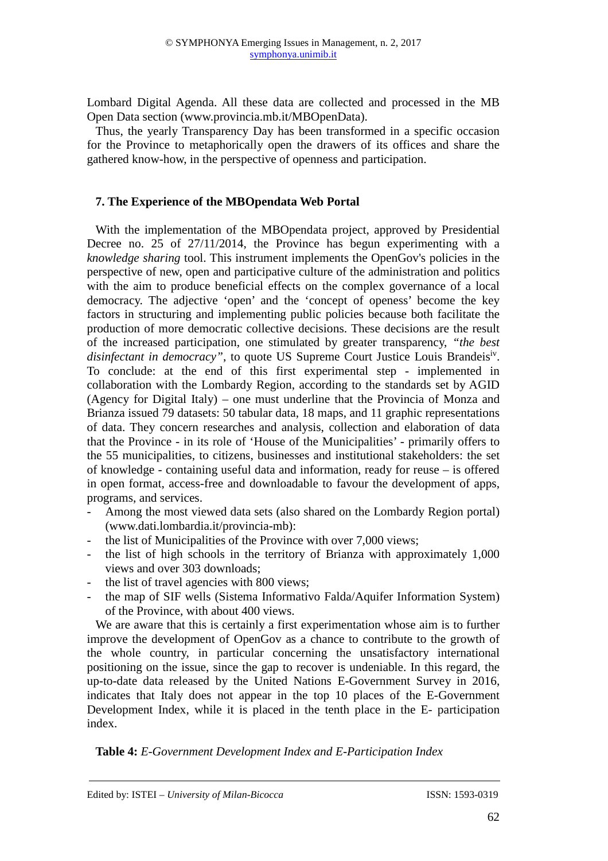Lombard Digital Agenda. All these data are collected and processed in the MB Open Data section (www.provincia.mb.it/MBOpenData).

Thus, the yearly Transparency Day has been transformed in a specific occasion for the Province to metaphorically open the drawers of its offices and share the gathered know-how, in the perspective of openness and participation.

# **7. The Experience of the MBOpendata Web Portal**

With the implementation of the MBOpendata project, approved by Presidential Decree no.  $25$  of  $27/11/2014$ , the Province has begun experimenting with a *knowledge sharing* tool. This instrument implements the OpenGov's policies in the perspective of new, open and participative culture of the administration and politics with the aim to produce beneficial effects on the complex governance of a local democracy. The adjective 'open' and the 'concept of openess' become the key factors in structuring and implementing public policies because both facilitate the production of more democratic collective decisions. These decisions are the result of the increased participation, one stimulated by greater transparency, *"the best*  disinfectant in democracy", to quote US Supreme Court Justice Louis Brandeisiv. To conclude: at the end of this first experimental step - implemented in collaboration with the Lombardy Region, according to the standards set by AGID (Agency for Digital Italy) – one must underline that the Provincia of Monza and Brianza issued 79 datasets: 50 tabular data, 18 maps, and 11 graphic representations of data. They concern researches and analysis, collection and elaboration of data that the Province - in its role of 'House of the Municipalities' - primarily offers to the 55 municipalities, to citizens, businesses and institutional stakeholders: the set of knowledge - containing useful data and information, ready for reuse – is offered in open format, access-free and downloadable to favour the development of apps, programs, and services.

- Among the most viewed data sets (also shared on the Lombardy Region portal) (www.dati.lombardia.it/provincia-mb):
- the list of Municipalities of the Province with over 7,000 views;
- the list of high schools in the territory of Brianza with approximately  $1,000$ views and over 303 downloads;
- the list of travel agencies with 800 views;
- the map of SIF wells (Sistema Informativo Falda/Aquifer Information System) of the Province, with about 400 views.

We are aware that this is certainly a first experimentation whose aim is to further improve the development of OpenGov as a chance to contribute to the growth of the whole country, in particular concerning the unsatisfactory international positioning on the issue, since the gap to recover is undeniable. In this regard, the up-to-date data released by the United Nations E-Government Survey in 2016, indicates that Italy does not appear in the top 10 places of the E-Government Development Index, while it is placed in the tenth place in the E- participation index.

**Table 4:** *E-Government Development Index and E-Participation Index*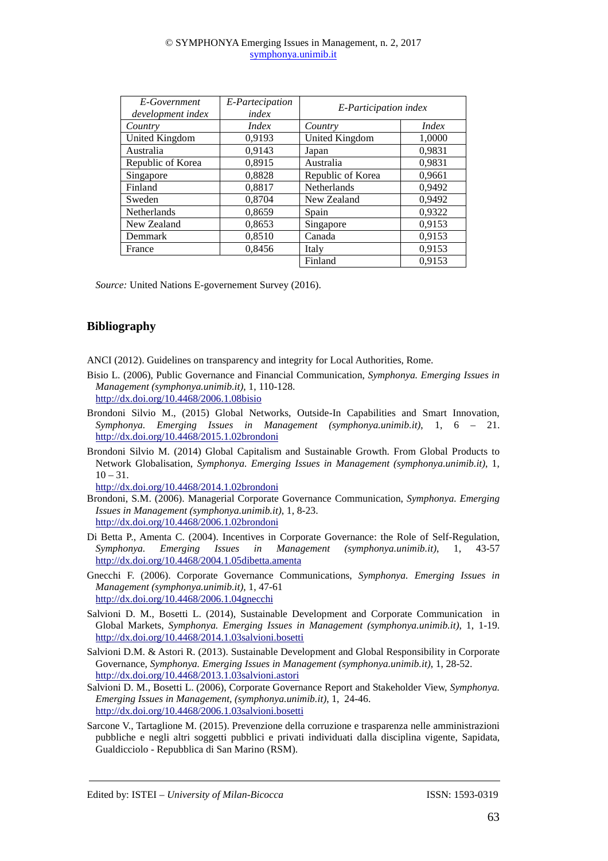#### © SYMPHONYA Emerging Issues in Management, n. 2, 2017 symphonya.unimib.it

| E-Government<br>development index | E-Partecipation<br>index | E-Participation index |              |
|-----------------------------------|--------------------------|-----------------------|--------------|
| Country                           | <i>Index</i>             | Country               | <i>Index</i> |
| United Kingdom                    | 0,9193                   | United Kingdom        | 1,0000       |
| Australia                         | 0,9143                   | Japan                 | 0,9831       |
| Republic of Korea                 | 0,8915                   | Australia             | 0.9831       |
| Singapore                         | 0,8828                   | Republic of Korea     | 0,9661       |
| Finland                           | 0,8817                   | <b>Netherlands</b>    | 0.9492       |
| Sweden                            | 0,8704                   | New Zealand           | 0,9492       |
| Netherlands                       | 0,8659                   | Spain                 | 0.9322       |
| New Zealand                       | 0,8653                   | Singapore             | 0,9153       |
| Demmark                           | 0,8510                   | Canada                | 0,9153       |
| France                            | 0,8456                   | Italy                 | 0,9153       |
|                                   |                          | Finland               | 0.9153       |

*Source:* United Nations E-governement Survey (2016).

# **Bibliography**

ANCI (2012). Guidelines on transparency and integrity for Local Authorities, Rome.

- Bisio L. (2006), Public Governance and Financial Communication, *Symphonya. Emerging Issues in Management (symphonya.unimib.it)*, 1, 110-128. http://dx.doi.org/10.4468/2006.1.08bisio
- Brondoni Silvio M., (2015) Global Networks, Outside-In Capabilities and Smart Innovation, *Symphonya. Emerging Issues in Management (symphonya.unimib.it)*, 1, 6 – 21. http://dx.doi.org/10.4468/2015.1.02brondoni
- Brondoni Silvio M. (2014) Global Capitalism and Sustainable Growth. From Global Products to Network Globalisation, *Symphonya. Emerging Issues in Management (symphonya.unimib.it)*, 1,  $10 - 31.$

http://dx.doi.org/10.4468/2014.1.02brondoni

- Brondoni, S.M. (2006). Managerial Corporate Governance Communication, *Symphonya. Emerging Issues in Management (symphonya.unimib.it)*, 1, 8-23. http://dx.doi.org/10.4468/2006.1.02brondoni
- Di Betta P., Amenta C. (2004). Incentives in Corporate Governance: the Role of Self-Regulation, *Symphonya. Emerging Issues in Management (symphonya.unimib.it)*, 1, 43-57 http://dx.doi.org/10.4468/2004.1.05dibetta.amenta
- Gnecchi F. (2006). Corporate Governance Communications, *Symphonya. Emerging Issues in Management (symphonya.unimib.it)*, 1, 47-61 http://dx.doi.org/10.4468/2006.1.04gnecchi
- Salvioni D. M., Bosetti L. (2014), Sustainable Development and Corporate Communication in Global Markets, *Symphonya. Emerging Issues in Management (symphonya.unimib.it)*, 1, 1-19. http://dx.doi.org/10.4468/2014.1.03salvioni.bosetti
- Salvioni D.M. & Astori R. (2013). Sustainable Development and Global Responsibility in Corporate Governance, *Symphonya. Emerging Issues in Management (symphonya.unimib.it)*, 1, 28-52. http://dx.doi.org/10.4468/2013.1.03salvioni.astori
- Salvioni D. M., Bosetti L. (2006), Corporate Governance Report and Stakeholder View, *Symphonya. Emerging Issues in Management, (symphonya.unimib.it)*, 1, 24-46. http://dx.doi.org/10.4468/2006.1.03salvioni.bosetti
- Sarcone V., Tartaglione M. (2015). Prevenzione della corruzione e trasparenza nelle amministrazioni pubbliche e negli altri soggetti pubblici e privati individuati dalla disciplina vigente, Sapidata, Gualdicciolo - Repubblica di San Marino (RSM).